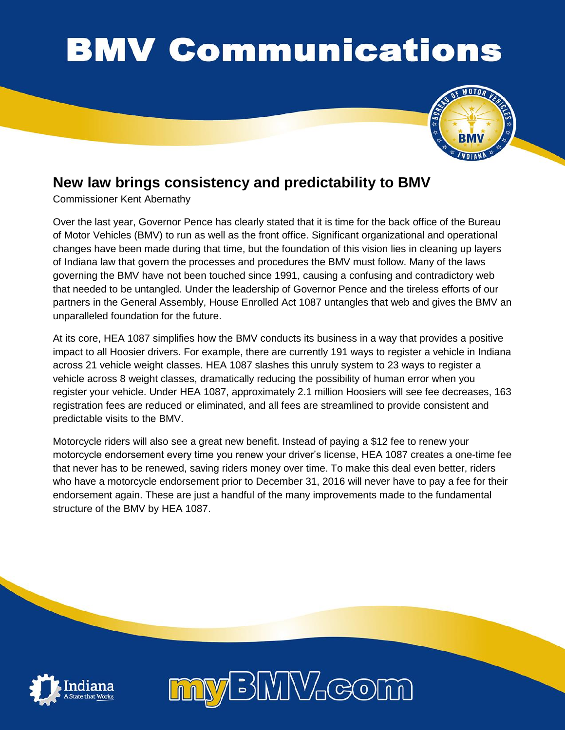## **BMV Communications**



## **New law brings consistency and predictability to BMV**

Commissioner Kent Abernathy

Over the last year, Governor Pence has clearly stated that it is time for the back office of the Bureau of Motor Vehicles (BMV) to run as well as the front office. Significant organizational and operational changes have been made during that time, but the foundation of this vision lies in cleaning up layers of Indiana law that govern the processes and procedures the BMV must follow. Many of the laws governing the BMV have not been touched since 1991, causing a confusing and contradictory web that needed to be untangled. Under the leadership of Governor Pence and the tireless efforts of our partners in the General Assembly, House Enrolled Act 1087 untangles that web and gives the BMV an unparalleled foundation for the future.

At its core, HEA 1087 simplifies how the BMV conducts its business in a way that provides a positive impact to all Hoosier drivers. For example, there are currently 191 ways to register a vehicle in Indiana across 21 vehicle weight classes. HEA 1087 slashes this unruly system to 23 ways to register a vehicle across 8 weight classes, dramatically reducing the possibility of human error when you register your vehicle. Under HEA 1087, approximately 2.1 million Hoosiers will see fee decreases, 163 registration fees are reduced or eliminated, and all fees are streamlined to provide consistent and predictable visits to the BMV.

Motorcycle riders will also see a great new benefit. Instead of paying a \$12 fee to renew your motorcycle endorsement every time you renew your driver's license, HEA 1087 creates a one-time fee that never has to be renewed, saving riders money over time. To make this deal even better, riders who have a motorcycle endorsement prior to December 31, 2016 will never have to pay a fee for their endorsement again. These are just a handful of the many improvements made to the fundamental structure of the BMV by HEA 1087.